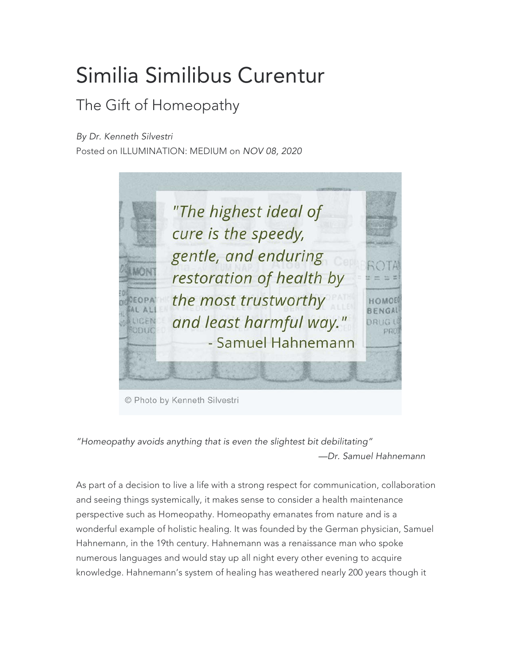## Similia Similibus Curentur

## The Gift of Homeopathy

*By Dr. Kenneth Silvestri*

Posted on ILLUMINATION: MEDIUM on *NOV 08, 2020*



© Photo by Kenneth Silvestri

*"Homeopathy avoids anything that is even the slightest bit debilitating" —Dr. Samuel Hahnemann*

As part of a decision to live a life with a strong respect for communication, collaboration and seeing things systemically, it makes sense to consider a health maintenance perspective such as Homeopathy. Homeopathy emanates from nature and is a wonderful example of holistic healing. It was founded by the German physician, Samuel Hahnemann, in the 19th century. Hahnemann was a renaissance man who spoke numerous languages and would stay up all night every other evening to acquire knowledge. Hahnemann's system of healing has weathered nearly 200 years though it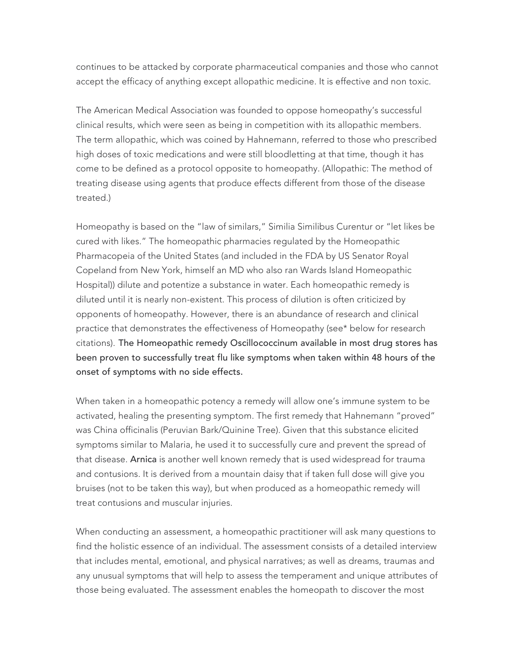continues to be attacked by corporate pharmaceutical companies and those who cannot accept the efficacy of anything except allopathic medicine. It is effective and non toxic.

The American Medical Association was founded to oppose homeopathy's successful clinical results, which were seen as being in competition with its allopathic members. The term allopathic, which was coined by Hahnemann, referred to those who prescribed high doses of toxic medications and were still bloodletting at that time, though it has come to be defined as a protocol opposite to homeopathy. (Allopathic: The method of treating disease using agents that produce effects different from those of the disease treated.)

Homeopathy is based on the "law of similars," Similia Similibus Curentur or "let likes be cured with likes." The homeopathic pharmacies regulated by the Homeopathic Pharmacopeia of the United States (and included in the FDA by US Senator Royal Copeland from New York, himself an MD who also ran Wards Island Homeopathic Hospital)) dilute and potentize a substance in water. Each homeopathic remedy is diluted until it is nearly non-existent. This process of dilution is often criticized by opponents of homeopathy. However, there is an abundance of research and clinical practice that demonstrates the effectiveness of Homeopathy (see\* below for research citations). The Homeopathic remedy Oscillococcinum available in most drug stores has been proven to successfully treat flu like symptoms when taken within 48 hours of the onset of symptoms with no side effects.

When taken in a homeopathic potency a remedy will allow one's immune system to be activated, healing the presenting symptom. The first remedy that Hahnemann "proved" was China officinalis (Peruvian Bark/Quinine Tree). Given that this substance elicited symptoms similar to Malaria, he used it to successfully cure and prevent the spread of that disease. Arnica is another well known remedy that is used widespread for trauma and contusions. It is derived from a mountain daisy that if taken full dose will give you bruises (not to be taken this way), but when produced as a homeopathic remedy will treat contusions and muscular injuries.

When conducting an assessment, a homeopathic practitioner will ask many questions to find the holistic essence of an individual. The assessment consists of a detailed interview that includes mental, emotional, and physical narratives; as well as dreams, traumas and any unusual symptoms that will help to assess the temperament and unique attributes of those being evaluated. The assessment enables the homeopath to discover the most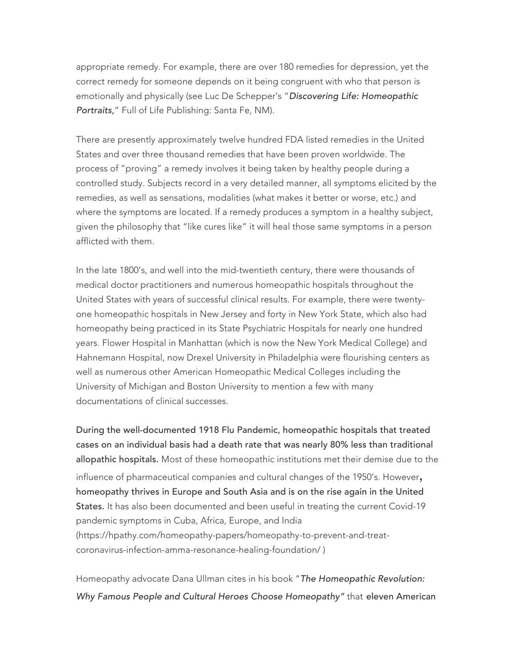appropriate remedy. For example, there are over 180 remedies for depression, yet the correct remedy for someone depends on it being congruent with who that person is emotionally and physically (see Luc De Schepper's "*Discovering Life: Homeopathic Portraits,*" Full of Life Publishing: Santa Fe, NM).

There are presently approximately twelve hundred FDA listed remedies in the United States and over three thousand remedies that have been proven worldwide. The process of "proving" a remedy involves it being taken by healthy people during a controlled study. Subjects record in a very detailed manner, all symptoms elicited by the remedies, as well as sensations, modalities (what makes it better or worse, etc.) and where the symptoms are located. If a remedy produces a symptom in a healthy subject, given the philosophy that "like cures like" it will heal those same symptoms in a person afflicted with them.

In the late 1800's, and well into the mid-twentieth century, there were thousands of medical doctor practitioners and numerous homeopathic hospitals throughout the United States with years of successful clinical results. For example, there were twentyone homeopathic hospitals in New Jersey and forty in New York State, which also had homeopathy being practiced in its State Psychiatric Hospitals for nearly one hundred years. Flower Hospital in Manhattan (which is now the New York Medical College) and Hahnemann Hospital, now Drexel University in Philadelphia were flourishing centers as well as numerous other American Homeopathic Medical Colleges including the University of Michigan and Boston University to mention a few with many documentations of clinical successes.

During the well-documented 1918 Flu Pandemic, homeopathic hospitals that treated cases on an individual basis had a death rate that was nearly 80% less than traditional allopathic hospitals. Most of these homeopathic institutions met their demise due to the influence of pharmaceutical companies and cultural changes of the 1950's. However, homeopathy thrives in Europe and South Asia and is on the rise again in the United States. It has also been documented and been useful in treating the current Covid-19 pandemic symptoms in Cuba, Africa, Europe, and India (https://hpathy.com/homeopathy-papers/homeopathy-to-prevent-and-treatcoronavirus-infection-amma-resonance-healing-foundation/ )

Homeopathy advocate Dana Ullman cites in his book "*The Homeopathic Revolution: Why Famous People and Cultural Heroes Choose Homeopathy"* that eleven American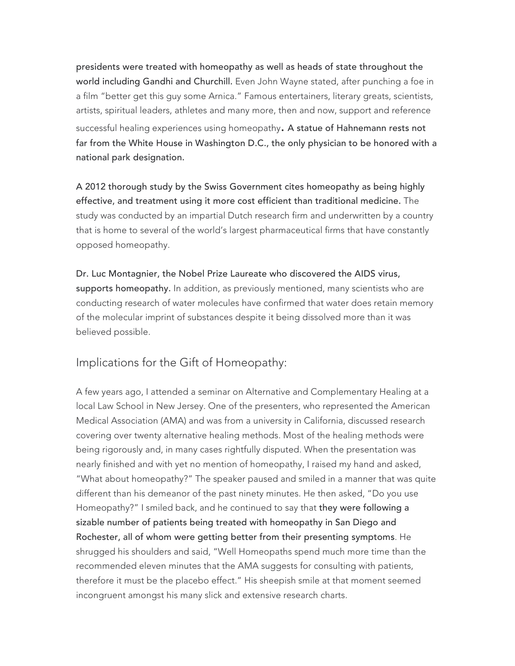presidents were treated with homeopathy as well as heads of state throughout the world including Gandhi and Churchill. Even John Wayne stated, after punching a foe in a film "better get this guy some Arnica." Famous entertainers, literary greats, scientists, artists, spiritual leaders, athletes and many more, then and now, support and reference successful healing experiences using homeopathy. A statue of Hahnemann rests not far from the White House in Washington D.C., the only physician to be honored with a national park designation.

A 2012 thorough study by the Swiss Government cites homeopathy as being highly effective, and treatment using it more cost efficient than traditional medicine. The study was conducted by an impartial Dutch research firm and underwritten by a country that is home to several of the world's largest pharmaceutical firms that have constantly opposed homeopathy.

Dr. Luc Montagnier, the Nobel Prize Laureate who discovered the AIDS virus, supports homeopathy. In addition, as previously mentioned, many scientists who are conducting research of water molecules have confirmed that water does retain memory of the molecular imprint of substances despite it being dissolved more than it was believed possible.

Implications for the Gift of Homeopathy:

A few years ago, I attended a seminar on Alternative and Complementary Healing at a local Law School in New Jersey. One of the presenters, who represented the American Medical Association (AMA) and was from a university in California, discussed research covering over twenty alternative healing methods. Most of the healing methods were being rigorously and, in many cases rightfully disputed. When the presentation was nearly finished and with yet no mention of homeopathy, I raised my hand and asked, "What about homeopathy?" The speaker paused and smiled in a manner that was quite different than his demeanor of the past ninety minutes. He then asked, "Do you use Homeopathy?" I smiled back, and he continued to say that they were following a sizable number of patients being treated with homeopathy in San Diego and Rochester, all of whom were getting better from their presenting symptoms. He shrugged his shoulders and said, "Well Homeopaths spend much more time than the recommended eleven minutes that the AMA suggests for consulting with patients, therefore it must be the placebo effect." His sheepish smile at that moment seemed incongruent amongst his many slick and extensive research charts.